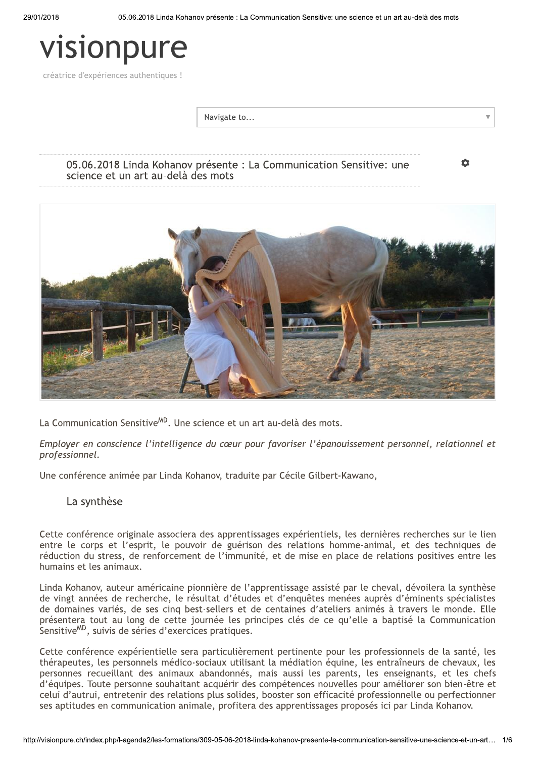# visionpure

créatrice d'expériences authentiques !

Navigate to...

05.06.2018 Linda Kohanov présente : La Communication Sensitive: une science et un art au-delà des mots

ά



La Communication Sensitive<sup>MD</sup>. Une science et un art au-delà des mots.

Employer en conscience l'intelligence du cœur pour favoriser l'épanouissement personnel, relationnel et professionnel.

Une conférence animée par Linda Kohanov, traduite par Cécile Gilbert-Kawano,

## La synthèse

Cette conférence originale associera des apprentissages expérientiels, les dernières recherches sur le lien entre le corps et l'esprit, le pouvoir de guérison des relations homme-animal, et des techniques de réduction du stress, de renforcement de l'immunité, et de mise en place de relations positives entre les humains et les animaux.

Linda Kohanov, auteur américaine pionnière de l'apprentissage assisté par le cheval, dévoilera la synthèse de vingt années de recherche, le résultat d'études et d'enquêtes menées auprès d'éminents spécialistes de domaines variés, de ses cing best-sellers et de centaines d'ateliers animés à travers le monde. Elle présentera tout au long de cette journée les principes clés de ce qu'elle a baptisé la Communication Sensitive<sup>MD</sup>, suivis de séries d'exercices pratiques.

Cette conférence expérientielle sera particulièrement pertinente pour les professionnels de la santé, les thérapeutes, les personnels médico-sociaux utilisant la médiation équine, les entraîneurs de chevaux, les personnes recueillant des animaux abandonnés, mais aussi les parents, les enseignants, et les chefs d'équipes. Toute personne souhaitant acquérir des compétences nouvelles pour améliorer son bien-être et celui d'autrui, entretenir des relations plus solides, booster son efficacité professionnelle ou perfectionner ses aptitudes en communication animale, profitera des apprentissages proposés ici par Linda Kohanov.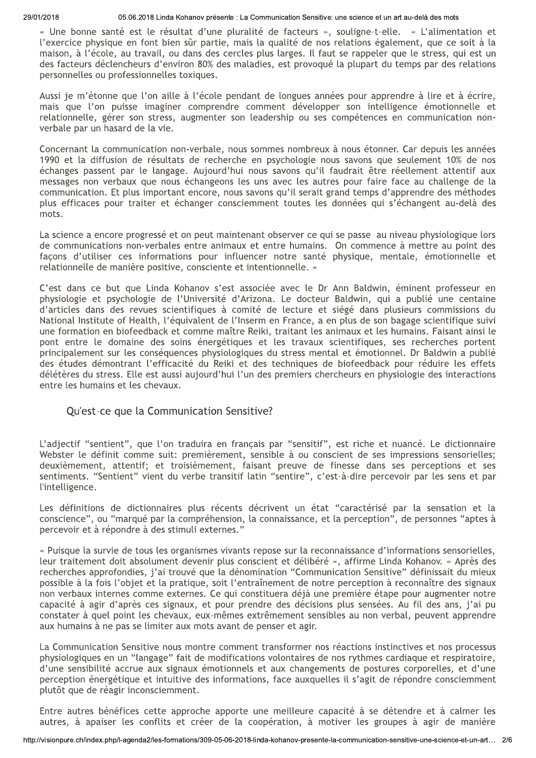« Une bonne santé est le résultat d'une pluralité de facteurs », souligne-t-elle. « L'alimentation et l'exercice physique en font bien sûr partie, mais la qualité de nos relations également, que ce soit à la maison, à l'école, au travail, ou dans des cercles plus larges. Il faut se rappeler que le stress, qui est un des facteurs déclencheurs d'environ 80% des maladies, est provoqué la plupart du temps par des relations personnelles ou professionnelles toxiques.

Aussi je m'étonne que l'on aille à l'école pendant de longues années pour apprendre à lire et à écrire. mais que l'on puisse imaginer comprendre comment développer son intelligence émotionnelle et relationnelle, gérer son stress, augmenter son leadership ou ses compétences en communication nonverbale par un hasard de la vie.

Concernant la communication non-verbale, nous sommes nombreux à nous étonner. Car depuis les années 1990 et la diffusion de résultats de recherche en psychologie nous savons que seulement 10% de nos échanges passent par le langage. Aujourd'hui nous savons qu'il faudrait être réellement attentif aux messages non verbaux que nous échangeons les uns avec les autres pour faire face au challenge de la communication. Et plus important encore, nous savons qu'il serait grand temps d'apprendre des méthodes plus efficaces pour traiter et échanger consciemment toutes les données qui s'échangent au-delà des mots.

La science a encore progressé et on peut maintenant observer ce qui se passe au niveau physiologique lors de communications non-verbales entre animaux et entre humains. On commence à mettre au point des façons d'utiliser ces informations pour influencer notre santé physique, mentale, émotionnelle et relationnelle de manière positive, consciente et intentionnelle. »

C'est dans ce but que Linda Kohanov s'est associée avec le Dr Ann Baldwin, éminent professeur en physiologie et psychologie de l'Université d'Arizona. Le docteur Baldwin, qui a publié une centaine d'articles dans des revues scientifiques à comité de lecture et siégé dans plusieurs commissions du National Institute of Health, l'équivalent de l'Inserm en France, a en plus de son bagage scientifique suivi une formation en biofeedback et comme maître Reiki, traitant les animaux et les humains. Faisant ainsi le pont entre le domaine des soins énergétiques et les travaux scientifiques, ses recherches portent principalement sur les conséquences physiologiques du stress mental et émotionnel. Dr Baldwin a publié des études démontrant l'efficacité du Reiki et des techniques de biofeedback pour réduire les effets délétères du stress. Elle est aussi aujourd'hui l'un des premiers chercheurs en physiologie des interactions entre les humains et les chevaux.

# Ou'est-ce que la Communication Sensitive?

L'adjectif "sentient", que l'on traduira en français par "sensitif", est riche et nuancé. Le dictionnaire Webster le définit comme suit: premièrement, sensible à ou conscient de ses impressions sensorielles; deuxièmement, attentif; et troisièmement, faisant preuve de finesse dans ses perceptions et ses sentiments. "Sentient" vient du verbe transitif latin "sentire", c'est-à-dire percevoir par les sens et par l'intelligence.

Les définitions de dictionnaires plus récents décrivent un état "caractérisé par la sensation et la conscience", ou "marqué par la compréhension, la connaissance, et la perception", de personnes "aptes à percevoir et à répondre à des stimuli externes."

« Puisque la survie de tous les organismes vivants repose sur la reconnaissance d'informations sensorielles, leur traitement doit absolument devenir plus conscient et délibéré », affirme Linda Kohanov. « Après des recherches approfondies, j'ai trouvé que la dénomination "Communication Sensitive" définissait du mieux possible à la fois l'objet et la pratique, soit l'entraînement de notre perception à reconnaître des signaux non verbaux internes comme externes. Ce qui constituera déjà une première étape pour augmenter notre capacité à agir d'après ces signaux, et pour prendre des décisions plus sensées. Au fil des ans, j'ai pu constater à quel point les chevaux, eux-mêmes extrêmement sensibles au non verbal, peuvent apprendre aux humains à ne pas se limiter aux mots avant de penser et agir.

La Communication Sensitive nous montre comment transformer nos réactions instinctives et nos processus physiologiques en un "langage" fait de modifications volontaires de nos rythmes cardiaque et respiratoire, d'une sensibilité accrue aux signaux émotionnels et aux changements de postures corporelles, et d'une perception énergétique et intuitive des informations, face auxquelles il s'agit de répondre consciemment plutôt que de réagir inconsciemment.

Entre autres bénéfices cette approche apporte une meilleure capacité à se détendre et à calmer les autres, à apaiser les conflits et créer de la coopération, à motiver les groupes à agir de manière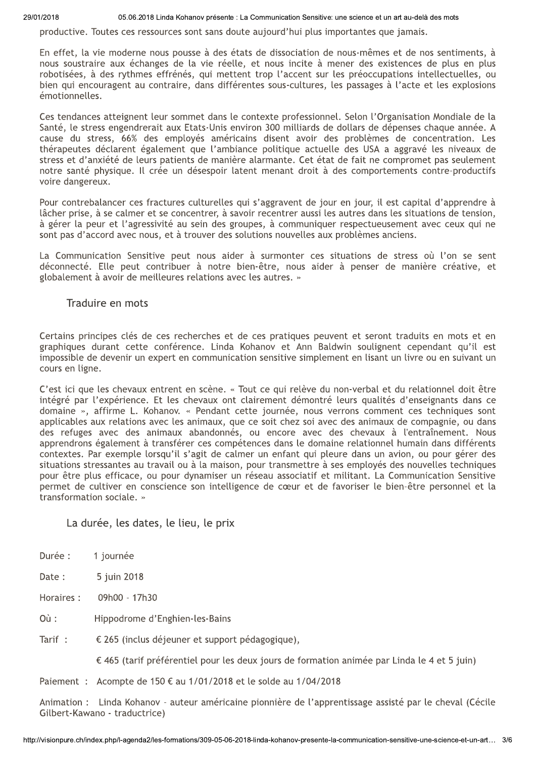29/01/2018

05.06.2018 Linda Kohanov présente : La Communication Sensitive: une science et un art au-delà des mots

productive. Toutes ces ressources sont sans doute aujourd'hui plus importantes que jamais.

En effet, la vie moderne nous pousse à des états de dissociation de nous-mêmes et de nos sentiments, à nous soustraire aux échanges de la vie réelle, et nous incite à mener des existences de plus en plus robotisées, à des rythmes effrénés, qui mettent trop l'accent sur les préoccupations intellectuelles, ou bien qui encouragent au contraire, dans différentes sous-cultures, les passages à l'acte et les explosions émotionnelles.

Ces tendances atteignent leur sommet dans le contexte professionnel. Selon l'Organisation Mondiale de la Santé, le stress engendrerait aux Etats-Unis environ 300 milliards de dollars de dépenses chaque année. A cause du stress, 66% des employés américains disent avoir des problèmes de concentration. Les thérapeutes déclarent également que l'ambiance politique actuelle des USA a aggravé les niveaux de stress et d'anxiété de leurs patients de manière alarmante. Cet état de fait ne compromet pas seulement notre santé physique. Il crée un désespoir latent menant droit à des comportements contre-productifs voire dangereux.

Pour contrebalancer ces fractures culturelles qui s'aggravent de jour en jour, il est capital d'apprendre à lâcher prise, à se calmer et se concentrer, à savoir recentrer aussi les autres dans les situations de tension, à gérer la peur et l'agressivité au sein des groupes, à communiquer respectueusement avec ceux qui ne sont pas d'accord avec nous, et à trouver des solutions nouvelles aux problèmes anciens.

La Communication Sensitive peut nous aider à surmonter ces situations de stress où l'on se sent déconnecté. Elle peut contribuer à notre bien-être, nous aider à penser de manière créative, et globalement à avoir de meilleures relations avec les autres. »

### Traduire en mots

Certains principes clés de ces recherches et de ces pratiques peuvent et seront traduits en mots et en graphiques durant cette conférence. Linda Kohanov et Ann Baldwin soulignent cependant qu'il est impossible de devenir un expert en communication sensitive simplement en lisant un livre ou en suivant un cours en ligne.

C'est ici que les chevaux entrent en scène. « Tout ce qui relève du non-verbal et du relationnel doit être intégré par l'expérience. Et les chevaux ont clairement démontré leurs qualités d'enseignants dans ce domaine », affirme L. Kohanov. « Pendant cette journée, nous verrons comment ces techniques sont applicables aux relations avec les animaux, que ce soit chez soi avec des animaux de compagnie, ou dans des refuges avec des animaux abandonnés, ou encore avec des chevaux à l'entraînement. Nous apprendrons également à transférer ces compétences dans le domaine relationnel humain dans différents contextes. Par exemple lorsqu'il s'agit de calmer un enfant qui pleure dans un avion, ou pour gérer des situations stressantes au travail ou à la maison, pour transmettre à ses employés des nouvelles techniques pour être plus efficace, ou pour dynamiser un réseau associatif et militant. La Communication Sensitive permet de cultiver en conscience son intelligence de cœur et de favoriser le bien-être personnel et la transformation sociale. »

## La durée, les dates, le lieu, le prix

- Durée : 1 journée
- Date: 5 juin 2018
- Horaires: 09h00 - 17h30
- $O\dot{u}$ : Hippodrome d'Enghien-les-Bains
- Tarif: € 265 (inclus déjeuner et support pédagogique).

€ 465 (tarif préférentiel pour les deux jours de formation animée par Linda le 4 et 5 juin)

Paiement : Acompte de 150 € au 1/01/2018 et le solde au 1/04/2018

Animation : Linda Kohanov - auteur américaine pionnière de l'apprentissage assisté par le cheval (Cécile Gilbert-Kawano - traductrice)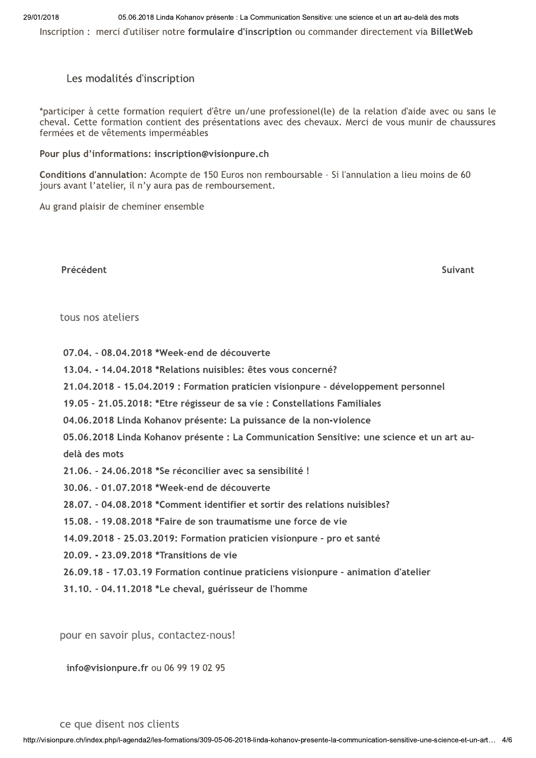# Les modalités d'inscription

\*participer à cette formation requiert d'être un/une professionel(le) de la relation d'aide avec ou sans le cheval. Cette formation contient des présentations avec des chevaux. Merci de vous munir de chaussures fermées et de vêtements imperméables

#### Pour plus d'informations: inscription@visionpure.ch

Conditions d'annulation: Acompte de 150 Euros non remboursable - Si l'annulation a lieu moins de 60 jours avant l'atelier, il n'y aura pas de remboursement.

Au grand plaisir de cheminer ensemble

Précédent

Suivant

tous nos ateliers

- 07.04. 08.04.2018 \*Week-end de découverte
- 13.04. 14.04.2018 \*Relations nuisibles: êtes vous concerné?
- 21.04.2018 15.04.2019 : Formation praticien visionpure développement personnel
- 19.05 21.05.2018: \*Etre régisseur de sa vie : Constellations Familiales
- 04.06.2018 Linda Kohanov présente: La puissance de la non-violence
- 05.06.2018 Linda Kohanov présente : La Communication Sensitive: une science et un art audelà des mots
- 21.06. 24.06.2018 \*Se réconcilier avec sa sensibilité !
- 30.06. 01.07.2018 \*Week-end de découverte
- 28.07. 04.08.2018 \*Comment identifier et sortir des relations nuisibles?
- 15.08. 19.08.2018 \*Faire de son traumatisme une force de vie
- 14.09.2018 25.03.2019: Formation praticien visionpure pro et santé
- 20.09. 23.09.2018 \*Transitions de vie
- 26.09.18 17.03.19 Formation continue praticiens visionpure animation d'atelier
- 31.10. 04.11.2018 \*Le cheval, guérisseur de l'homme

pour en savoir plus, contactez-nous!

info@visionpure.fr ou 06 99 19 02 95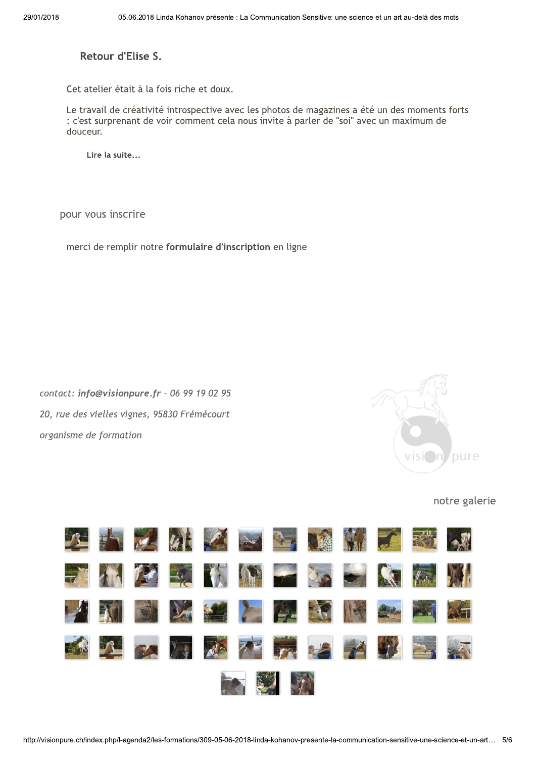Retour d'Elise S.

Cet atelier était à la fois riche et doux.

Le travail de créativité introspective avec les photos de magazines a été un des moments forts : c'est surprenant de voir comment cela nous invite à parler de "soi" avec un maximum de douceur.

Lire la suite...

pour vous inscrire

merci de remplir notre formulaire d'inscription en ligne

contact: info@visionpure.fr - 06 99 19 02 95 20, rue des vielles vignes, 95830 Frémécourt organisme de formation



### notre galerie